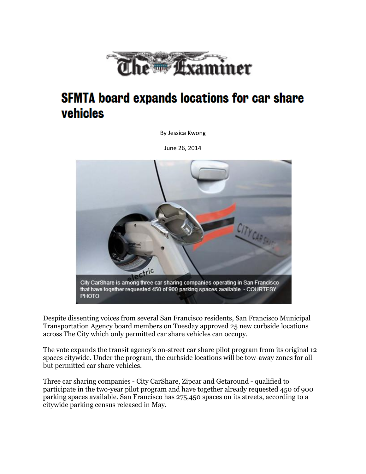

## **SFMTA board expands locations for car share** vehicles

By Jessica Kwong

June 26, 2014



Despite dissenting voices from several San Francisco residents, San Francisco Municipal Transportation Agency board members on Tuesday approved 25 new curbside locations across The City which only permitted car share vehicles can occupy.

The vote expands the transit agency's on-street car share pilot program from its original 12 spaces citywide. Under the program, the curbside locations will be tow-away zones for all but permitted car share vehicles.

Three car sharing companies - City CarShare, Zipcar and Getaround - qualified to participate in the two-year pilot program and have together already requested 450 of 900 parking spaces available. San Francisco has 275,450 spaces on its streets, according to a citywide parking census released in May.